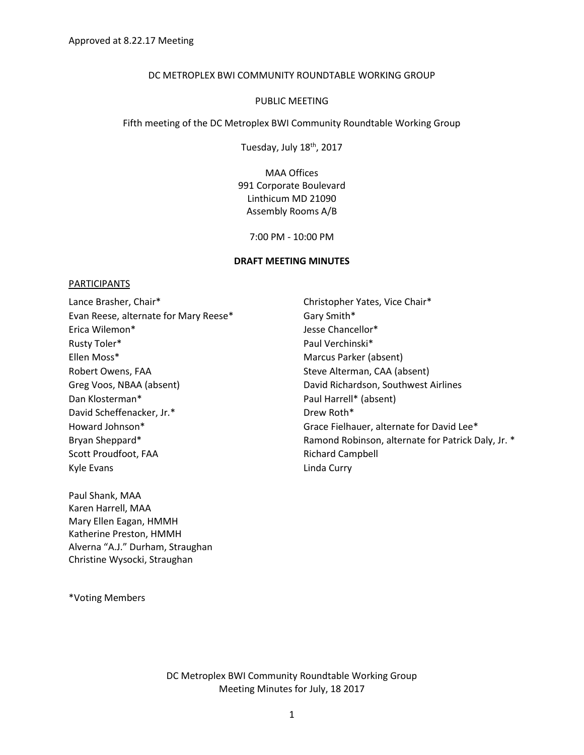#### DC METROPLEX BWI COMMUNITY ROUNDTABLE WORKING GROUP

#### PUBLIC MEETING

Fifth meeting of the DC Metroplex BWI Community Roundtable Working Group

Tuesday, July 18<sup>th</sup>, 2017

MAA Offices 991 Corporate Boulevard Linthicum MD 21090 Assembly Rooms A/B

7:00 PM - 10:00 PM

#### **DRAFT MEETING MINUTES**

#### PARTICIPANTS

Lance Brasher, Chair\* The Christopher Yates, Vice Chair\* Evan Reese, alternate for Mary Reese\* Gary Smith\* Erica Wilemon\* Jesse Chancellor\* Rusty Toler\* The Communication of the Paul Verchinski Paul Verchinski Paul Verchinski Ellen Moss\* Marcus Parker (absent) Robert Owens, FAA Steve Alterman, CAA (absent) Greg Voos, NBAA (absent) The Controller of David Richardson, Southwest Airlines Dan Klosterman\* Paul Harrell\* (absent) David Scheffenacker, Jr.\* The Channel Channel Drew Roth\* Scott Proudfoot, FAA Richard Campbell Kyle Evans **Linda Curry** 

Paul Shank, MAA Karen Harrell, MAA Mary Ellen Eagan, HMMH Katherine Preston, HMMH Alverna "A.J." Durham, Straughan Christine Wysocki, Straughan

Howard Johnson\* The Communisties of the Grace Fielhauer, alternate for David Lee\* Bryan Sheppard\* **Ramond Robinson, alternate for Patrick Daly, Jr. \*** Ramond Robinson, alternate for Patrick Daly, Jr. \*

\*Voting Members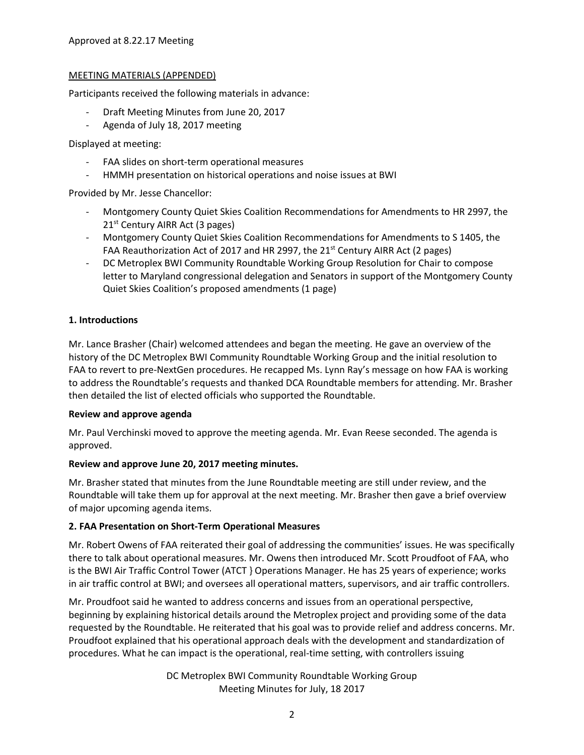## MEETING MATERIALS (APPENDED)

Participants received the following materials in advance:

- Draft Meeting Minutes from June 20, 2017
- Agenda of July 18, 2017 meeting

Displayed at meeting:

- FAA slides on short-term operational measures
- HMMH presentation on historical operations and noise issues at BWI

Provided by Mr. Jesse Chancellor:

- Montgomery County Quiet Skies Coalition Recommendations for Amendments to HR 2997, the 21<sup>st</sup> Century AIRR Act (3 pages)
- Montgomery County Quiet Skies Coalition Recommendations for Amendments to S 1405, the FAA Reauthorization Act of 2017 and HR 2997, the 21<sup>st</sup> Century AIRR Act (2 pages)
- DC Metroplex BWI Community Roundtable Working Group Resolution for Chair to compose letter to Maryland congressional delegation and Senators in support of the Montgomery County Quiet Skies Coalition's proposed amendments (1 page)

# **1. Introductions**

Mr. Lance Brasher (Chair) welcomed attendees and began the meeting. He gave an overview of the history of the DC Metroplex BWI Community Roundtable Working Group and the initial resolution to FAA to revert to pre-NextGen procedures. He recapped Ms. Lynn Ray's message on how FAA is working to address the Roundtable's requests and thanked DCA Roundtable members for attending. Mr. Brasher then detailed the list of elected officials who supported the Roundtable.

### **Review and approve agenda**

Mr. Paul Verchinski moved to approve the meeting agenda. Mr. Evan Reese seconded. The agenda is approved.

### **Review and approve June 20, 2017 meeting minutes.**

Mr. Brasher stated that minutes from the June Roundtable meeting are still under review, and the Roundtable will take them up for approval at the next meeting. Mr. Brasher then gave a brief overview of major upcoming agenda items.

# **2. FAA Presentation on Short-Term Operational Measures**

Mr. Robert Owens of FAA reiterated their goal of addressing the communities' issues. He was specifically there to talk about operational measures. Mr. Owens then introduced Mr. Scott Proudfoot of FAA, who is the BWI Air Traffic Control Tower (ATCT } Operations Manager. He has 25 years of experience; works in air traffic control at BWI; and oversees all operational matters, supervisors, and air traffic controllers.

Mr. Proudfoot said he wanted to address concerns and issues from an operational perspective, beginning by explaining historical details around the Metroplex project and providing some of the data requested by the Roundtable. He reiterated that his goal was to provide relief and address concerns. Mr. Proudfoot explained that his operational approach deals with the development and standardization of procedures. What he can impact is the operational, real-time setting, with controllers issuing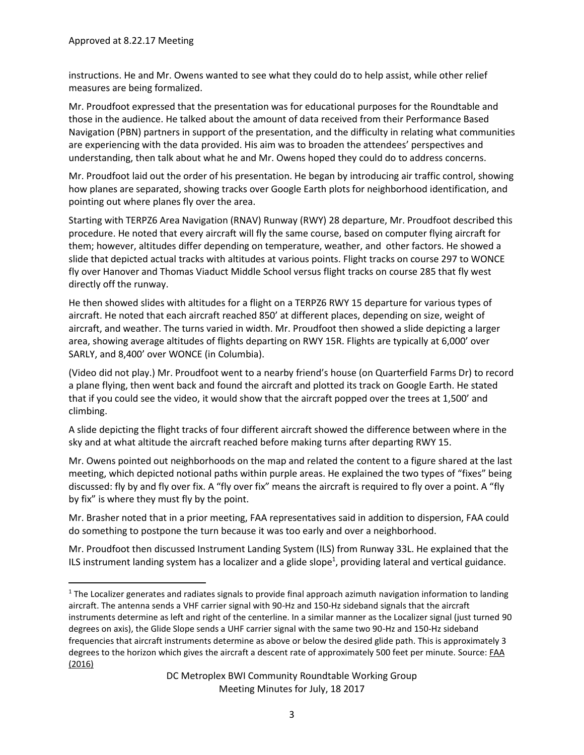instructions. He and Mr. Owens wanted to see what they could do to help assist, while other relief measures are being formalized.

Mr. Proudfoot expressed that the presentation was for educational purposes for the Roundtable and those in the audience. He talked about the amount of data received from their Performance Based Navigation (PBN) partners in support of the presentation, and the difficulty in relating what communities are experiencing with the data provided. His aim was to broaden the attendees' perspectives and understanding, then talk about what he and Mr. Owens hoped they could do to address concerns.

Mr. Proudfoot laid out the order of his presentation. He began by introducing air traffic control, showing how planes are separated, showing tracks over Google Earth plots for neighborhood identification, and pointing out where planes fly over the area.

Starting with TERPZ6 Area Navigation (RNAV) Runway (RWY) 28 departure, Mr. Proudfoot described this procedure. He noted that every aircraft will fly the same course, based on computer flying aircraft for them; however, altitudes differ depending on temperature, weather, and other factors. He showed a slide that depicted actual tracks with altitudes at various points. Flight tracks on course 297 to WONCE fly over Hanover and Thomas Viaduct Middle School versus flight tracks on course 285 that fly west directly off the runway.

He then showed slides with altitudes for a flight on a TERPZ6 RWY 15 departure for various types of aircraft. He noted that each aircraft reached 850' at different places, depending on size, weight of aircraft, and weather. The turns varied in width. Mr. Proudfoot then showed a slide depicting a larger area, showing average altitudes of flights departing on RWY 15R. Flights are typically at 6,000' over SARLY, and 8,400' over WONCE (in Columbia).

(Video did not play.) Mr. Proudfoot went to a nearby friend's house (on Quarterfield Farms Dr) to record a plane flying, then went back and found the aircraft and plotted its track on Google Earth. He stated that if you could see the video, it would show that the aircraft popped over the trees at 1,500' and climbing.

A slide depicting the flight tracks of four different aircraft showed the difference between where in the sky and at what altitude the aircraft reached before making turns after departing RWY 15.

Mr. Owens pointed out neighborhoods on the map and related the content to a figure shared at the last meeting, which depicted notional paths within purple areas. He explained the two types of "fixes" being discussed: fly by and fly over fix. A "fly over fix" means the aircraft is required to fly over a point. A "fly by fix" is where they must fly by the point.

Mr. Brasher noted that in a prior meeting, FAA representatives said in addition to dispersion, FAA could do something to postpone the turn because it was too early and over a neighborhood.

Mr. Proudfoot then discussed Instrument Landing System (ILS) from Runway 33L. He explained that the ILS instrument landing system has a localizer and a glide slope<sup>1</sup>, providing lateral and vertical guidance.

l  $1$  The Localizer generates and radiates signals to provide final approach azimuth navigation information to landing aircraft. The antenna sends a VHF carrier signal with 90-Hz and 150-Hz sideband signals that the aircraft instruments determine as left and right of the centerline. In a similar manner as the Localizer signal (just turned 90 degrees on axis), the Glide Slope sends a UHF carrier signal with the same two 90-Hz and 150-Hz sideband frequencies that aircraft instruments determine as above or below the desired glide path. This is approximately 3 degrees to the horizon which gives the aircraft a descent rate of approximately 500 feet per minute. Source: **FAA** [\(2016\)](https://www.faa.gov/about/office_org/headquarters_offices/ato/service_units/techops/navservices/gbng/ils/)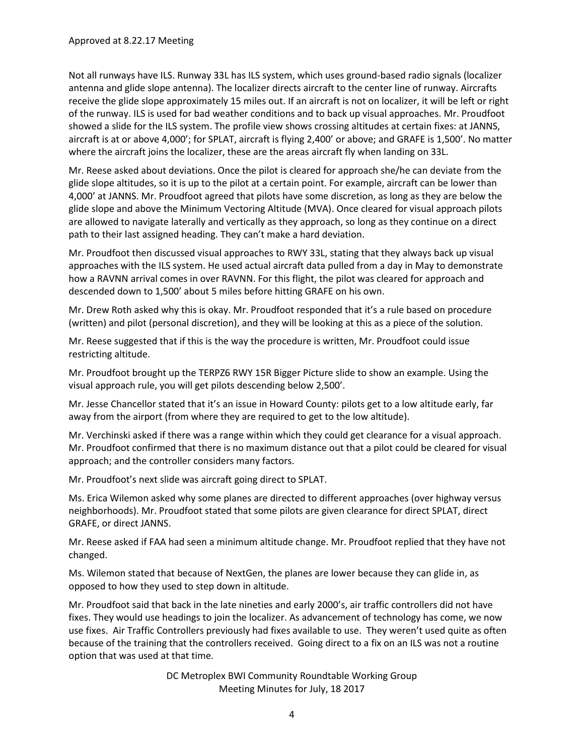Not all runways have ILS. Runway 33L has ILS system, which uses ground-based radio signals (localizer antenna and glide slope antenna). The localizer directs aircraft to the center line of runway. Aircrafts receive the glide slope approximately 15 miles out. If an aircraft is not on localizer, it will be left or right of the runway. ILS is used for bad weather conditions and to back up visual approaches. Mr. Proudfoot showed a slide for the ILS system. The profile view shows crossing altitudes at certain fixes: at JANNS, aircraft is at or above 4,000'; for SPLAT, aircraft is flying 2,400' or above; and GRAFE is 1,500'. No matter where the aircraft joins the localizer, these are the areas aircraft fly when landing on 33L.

Mr. Reese asked about deviations. Once the pilot is cleared for approach she/he can deviate from the glide slope altitudes, so it is up to the pilot at a certain point. For example, aircraft can be lower than 4,000' at JANNS. Mr. Proudfoot agreed that pilots have some discretion, as long as they are below the glide slope and above the Minimum Vectoring Altitude (MVA). Once cleared for visual approach pilots are allowed to navigate laterally and vertically as they approach, so long as they continue on a direct path to their last assigned heading. They can't make a hard deviation.

Mr. Proudfoot then discussed visual approaches to RWY 33L, stating that they always back up visual approaches with the ILS system. He used actual aircraft data pulled from a day in May to demonstrate how a RAVNN arrival comes in over RAVNN. For this flight, the pilot was cleared for approach and descended down to 1,500' about 5 miles before hitting GRAFE on his own.

Mr. Drew Roth asked why this is okay. Mr. Proudfoot responded that it's a rule based on procedure (written) and pilot (personal discretion), and they will be looking at this as a piece of the solution.

Mr. Reese suggested that if this is the way the procedure is written, Mr. Proudfoot could issue restricting altitude.

Mr. Proudfoot brought up the TERPZ6 RWY 15R Bigger Picture slide to show an example. Using the visual approach rule, you will get pilots descending below 2,500'.

Mr. Jesse Chancellor stated that it's an issue in Howard County: pilots get to a low altitude early, far away from the airport (from where they are required to get to the low altitude).

Mr. Verchinski asked if there was a range within which they could get clearance for a visual approach. Mr. Proudfoot confirmed that there is no maximum distance out that a pilot could be cleared for visual approach; and the controller considers many factors.

Mr. Proudfoot's next slide was aircraft going direct to SPLAT.

Ms. Erica Wilemon asked why some planes are directed to different approaches (over highway versus neighborhoods). Mr. Proudfoot stated that some pilots are given clearance for direct SPLAT, direct GRAFE, or direct JANNS.

Mr. Reese asked if FAA had seen a minimum altitude change. Mr. Proudfoot replied that they have not changed.

Ms. Wilemon stated that because of NextGen, the planes are lower because they can glide in, as opposed to how they used to step down in altitude.

Mr. Proudfoot said that back in the late nineties and early 2000's, air traffic controllers did not have fixes. They would use headings to join the localizer. As advancement of technology has come, we now use fixes. Air Traffic Controllers previously had fixes available to use. They weren't used quite as often because of the training that the controllers received. Going direct to a fix on an ILS was not a routine option that was used at that time.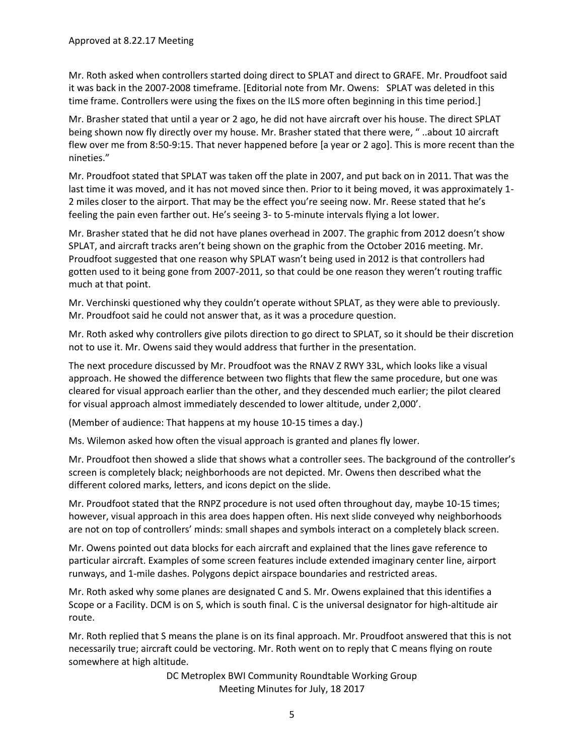Mr. Roth asked when controllers started doing direct to SPLAT and direct to GRAFE. Mr. Proudfoot said it was back in the 2007-2008 timeframe. [Editorial note from Mr. Owens: SPLAT was deleted in this time frame. Controllers were using the fixes on the ILS more often beginning in this time period.]

Mr. Brasher stated that until a year or 2 ago, he did not have aircraft over his house. The direct SPLAT being shown now fly directly over my house. Mr. Brasher stated that there were, " ..about 10 aircraft flew over me from 8:50-9:15. That never happened before [a year or 2 ago]. This is more recent than the nineties."

Mr. Proudfoot stated that SPLAT was taken off the plate in 2007, and put back on in 2011. That was the last time it was moved, and it has not moved since then. Prior to it being moved, it was approximately 1-2 miles closer to the airport. That may be the effect you're seeing now. Mr. Reese stated that he's feeling the pain even farther out. He's seeing 3- to 5-minute intervals flying a lot lower.

Mr. Brasher stated that he did not have planes overhead in 2007. The graphic from 2012 doesn't show SPLAT, and aircraft tracks aren't being shown on the graphic from the October 2016 meeting. Mr. Proudfoot suggested that one reason why SPLAT wasn't being used in 2012 is that controllers had gotten used to it being gone from 2007-2011, so that could be one reason they weren't routing traffic much at that point.

Mr. Verchinski questioned why they couldn't operate without SPLAT, as they were able to previously. Mr. Proudfoot said he could not answer that, as it was a procedure question.

Mr. Roth asked why controllers give pilots direction to go direct to SPLAT, so it should be their discretion not to use it. Mr. Owens said they would address that further in the presentation.

The next procedure discussed by Mr. Proudfoot was the RNAV Z RWY 33L, which looks like a visual approach. He showed the difference between two flights that flew the same procedure, but one was cleared for visual approach earlier than the other, and they descended much earlier; the pilot cleared for visual approach almost immediately descended to lower altitude, under 2,000'.

(Member of audience: That happens at my house 10-15 times a day.)

Ms. Wilemon asked how often the visual approach is granted and planes fly lower.

Mr. Proudfoot then showed a slide that shows what a controller sees. The background of the controller's screen is completely black; neighborhoods are not depicted. Mr. Owens then described what the different colored marks, letters, and icons depict on the slide.

Mr. Proudfoot stated that the RNPZ procedure is not used often throughout day, maybe 10-15 times; however, visual approach in this area does happen often. His next slide conveyed why neighborhoods are not on top of controllers' minds: small shapes and symbols interact on a completely black screen.

Mr. Owens pointed out data blocks for each aircraft and explained that the lines gave reference to particular aircraft. Examples of some screen features include extended imaginary center line, airport runways, and 1-mile dashes. Polygons depict airspace boundaries and restricted areas.

Mr. Roth asked why some planes are designated C and S. Mr. Owens explained that this identifies a Scope or a Facility. DCM is on S, which is south final. C is the universal designator for high-altitude air route.

Mr. Roth replied that S means the plane is on its final approach. Mr. Proudfoot answered that this is not necessarily true; aircraft could be vectoring. Mr. Roth went on to reply that C means flying on route somewhere at high altitude.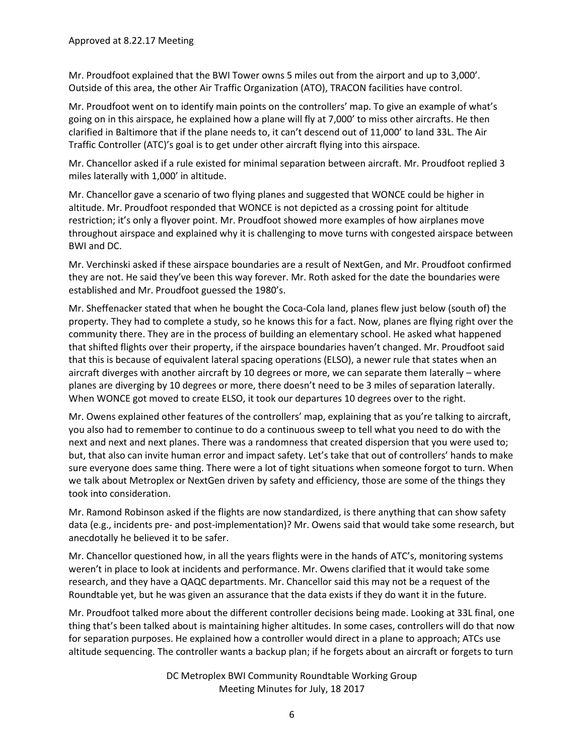Mr. Proudfoot explained that the BWI Tower owns 5 miles out from the airport and up to 3,000'. Outside of this area, the other [Air Traffic Organization](https://en.wikipedia.org/wiki/Air_Traffic_Organization) (ATO), TRACON facilities have control.

Mr. Proudfoot went on to identify main points on the controllers' map. To give an example of what's going on in this airspace, he explained how a plane will fly at 7,000' to miss other aircrafts. He then clarified in Baltimore that if the plane needs to, it can't descend out of 11,000' to land 33L. The Air Traffic Controller (ATC)'s goal is to get under other aircraft flying into this airspace.

Mr. Chancellor asked if a rule existed for minimal separation between aircraft. Mr. Proudfoot replied 3 miles laterally with 1,000' in altitude.

Mr. Chancellor gave a scenario of two flying planes and suggested that WONCE could be higher in altitude. Mr. Proudfoot responded that WONCE is not depicted as a crossing point for altitude restriction; it's only a flyover point. Mr. Proudfoot showed more examples of how airplanes move throughout airspace and explained why it is challenging to move turns with congested airspace between BWI and DC.

Mr. Verchinski asked if these airspace boundaries are a result of NextGen, and Mr. Proudfoot confirmed they are not. He said they've been this way forever. Mr. Roth asked for the date the boundaries were established and Mr. Proudfoot guessed the 1980's.

Mr. Sheffenacker stated that when he bought the Coca-Cola land, planes flew just below (south of) the property. They had to complete a study, so he knows this for a fact. Now, planes are flying right over the community there. They are in the process of building an elementary school. He asked what happened that shifted flights over their property, if the airspace boundaries haven't changed. Mr. Proudfoot said that this is because of equivalent lateral spacing operations (ELSO), a newer rule that states when an aircraft diverges with another aircraft by 10 degrees or more, we can separate them laterally – where planes are diverging by 10 degrees or more, there doesn't need to be 3 miles of separation laterally. When WONCE got moved to create ELSO, it took our departures 10 degrees over to the right.

Mr. Owens explained other features of the controllers' map, explaining that as you're talking to aircraft, you also had to remember to continue to do a continuous sweep to tell what you need to do with the next and next and next planes. There was a randomness that created dispersion that you were used to; but, that also can invite human error and impact safety. Let's take that out of controllers' hands to make sure everyone does same thing. There were a lot of tight situations when someone forgot to turn. When we talk about Metroplex or NextGen driven by safety and efficiency, those are some of the things they took into consideration.

Mr. Ramond Robinson asked if the flights are now standardized, is there anything that can show safety data (e.g., incidents pre- and post-implementation)? Mr. Owens said that would take some research, but anecdotally he believed it to be safer.

Mr. Chancellor questioned how, in all the years flights were in the hands of ATC's, monitoring systems weren't in place to look at incidents and performance. Mr. Owens clarified that it would take some research, and they have a QAQC departments. Mr. Chancellor said this may not be a request of the Roundtable yet, but he was given an assurance that the data exists if they do want it in the future.

Mr. Proudfoot talked more about the different controller decisions being made. Looking at 33L final, one thing that's been talked about is maintaining higher altitudes. In some cases, controllers will do that now for separation purposes. He explained how a controller would direct in a plane to approach; ATCs use altitude sequencing. The controller wants a backup plan; if he forgets about an aircraft or forgets to turn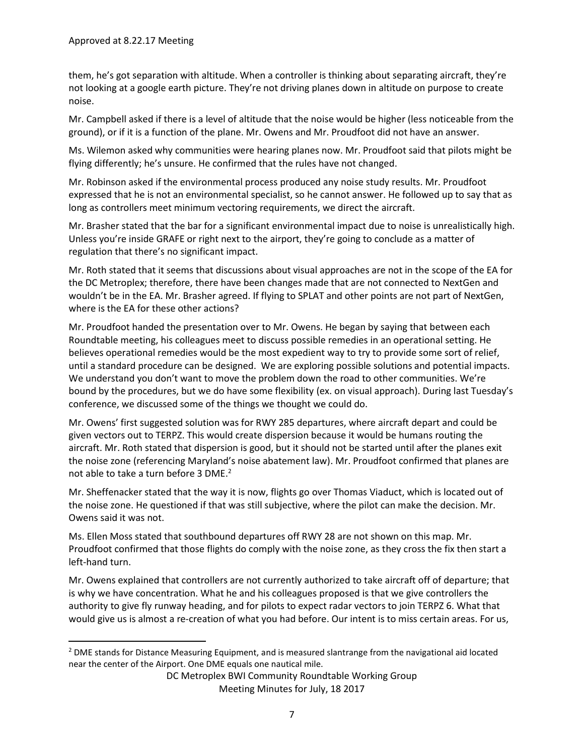l

them, he's got separation with altitude. When a controller is thinking about separating aircraft, they're not looking at a google earth picture. They're not driving planes down in altitude on purpose to create noise.

Mr. Campbell asked if there is a level of altitude that the noise would be higher (less noticeable from the ground), or if it is a function of the plane. Mr. Owens and Mr. Proudfoot did not have an answer.

Ms. Wilemon asked why communities were hearing planes now. Mr. Proudfoot said that pilots might be flying differently; he's unsure. He confirmed that the rules have not changed.

Mr. Robinson asked if the environmental process produced any noise study results. Mr. Proudfoot expressed that he is not an environmental specialist, so he cannot answer. He followed up to say that as long as controllers meet minimum vectoring requirements, we direct the aircraft.

Mr. Brasher stated that the bar for a significant environmental impact due to noise is unrealistically high. Unless you're inside GRAFE or right next to the airport, they're going to conclude as a matter of regulation that there's no significant impact.

Mr. Roth stated that it seems that discussions about visual approaches are not in the scope of the EA for the DC Metroplex; therefore, there have been changes made that are not connected to NextGen and wouldn't be in the EA. Mr. Brasher agreed. If flying to SPLAT and other points are not part of NextGen, where is the EA for these other actions?

Mr. Proudfoot handed the presentation over to Mr. Owens. He began by saying that between each Roundtable meeting, his colleagues meet to discuss possible remedies in an operational setting. He believes operational remedies would be the most expedient way to try to provide some sort of relief, until a standard procedure can be designed. We are exploring possible solutions and potential impacts. We understand you don't want to move the problem down the road to other communities. We're bound by the procedures, but we do have some flexibility (ex. on visual approach). During last Tuesday's conference, we discussed some of the things we thought we could do.

Mr. Owens' first suggested solution was for RWY 285 departures, where aircraft depart and could be given vectors out to TERPZ. This would create dispersion because it would be humans routing the aircraft. Mr. Roth stated that dispersion is good, but it should not be started until after the planes exit the noise zone (referencing Maryland's noise abatement law). Mr. Proudfoot confirmed that planes are not able to take a turn before 3 DME.<sup>2</sup>

Mr. Sheffenacker stated that the way it is now, flights go over Thomas Viaduct, which is located out of the noise zone. He questioned if that was still subjective, where the pilot can make the decision. Mr. Owens said it was not.

Ms. Ellen Moss stated that southbound departures off RWY 28 are not shown on this map. Mr. Proudfoot confirmed that those flights do comply with the noise zone, as they cross the fix then start a left-hand turn.

Mr. Owens explained that controllers are not currently authorized to take aircraft off of departure; that is why we have concentration. What he and his colleagues proposed is that we give controllers the authority to give fly runway heading, and for pilots to expect radar vectors to join TERPZ 6. What that would give us is almost a re-creation of what you had before. Our intent is to miss certain areas. For us,

<sup>&</sup>lt;sup>2</sup> DME stands for Distance Measuring Equipment, and is measured slantrange from the navigational aid located near the center of the Airport. One DME equals one nautical mile.

DC Metroplex BWI Community Roundtable Working Group Meeting Minutes for July, 18 2017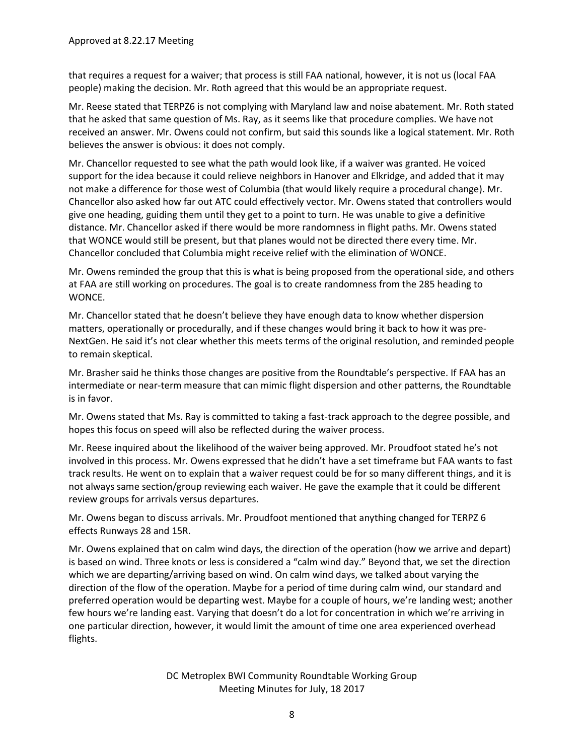that requires a request for a waiver; that process is still FAA national, however, it is not us (local FAA people) making the decision. Mr. Roth agreed that this would be an appropriate request.

Mr. Reese stated that TERPZ6 is not complying with Maryland law and noise abatement. Mr. Roth stated that he asked that same question of Ms. Ray, as it seems like that procedure complies. We have not received an answer. Mr. Owens could not confirm, but said this sounds like a logical statement. Mr. Roth believes the answer is obvious: it does not comply.

Mr. Chancellor requested to see what the path would look like, if a waiver was granted. He voiced support for the idea because it could relieve neighbors in Hanover and Elkridge, and added that it may not make a difference for those west of Columbia (that would likely require a procedural change). Mr. Chancellor also asked how far out ATC could effectively vector. Mr. Owens stated that controllers would give one heading, guiding them until they get to a point to turn. He was unable to give a definitive distance. Mr. Chancellor asked if there would be more randomness in flight paths. Mr. Owens stated that WONCE would still be present, but that planes would not be directed there every time. Mr. Chancellor concluded that Columbia might receive relief with the elimination of WONCE.

Mr. Owens reminded the group that this is what is being proposed from the operational side, and others at FAA are still working on procedures. The goal is to create randomness from the 285 heading to WONCE.

Mr. Chancellor stated that he doesn't believe they have enough data to know whether dispersion matters, operationally or procedurally, and if these changes would bring it back to how it was pre-NextGen. He said it's not clear whether this meets terms of the original resolution, and reminded people to remain skeptical.

Mr. Brasher said he thinks those changes are positive from the Roundtable's perspective. If FAA has an intermediate or near-term measure that can mimic flight dispersion and other patterns, the Roundtable is in favor.

Mr. Owens stated that Ms. Ray is committed to taking a fast-track approach to the degree possible, and hopes this focus on speed will also be reflected during the waiver process.

Mr. Reese inquired about the likelihood of the waiver being approved. Mr. Proudfoot stated he's not involved in this process. Mr. Owens expressed that he didn't have a set timeframe but FAA wants to fast track results. He went on to explain that a waiver request could be for so many different things, and it is not always same section/group reviewing each waiver. He gave the example that it could be different review groups for arrivals versus departures.

Mr. Owens began to discuss arrivals. Mr. Proudfoot mentioned that anything changed for TERPZ 6 effects Runways 28 and 15R.

Mr. Owens explained that on calm wind days, the direction of the operation (how we arrive and depart) is based on wind. Three knots or less is considered a "calm wind day." Beyond that, we set the direction which we are departing/arriving based on wind. On calm wind days, we talked about varying the direction of the flow of the operation. Maybe for a period of time during calm wind, our standard and preferred operation would be departing west. Maybe for a couple of hours, we're landing west; another few hours we're landing east. Varying that doesn't do a lot for concentration in which we're arriving in one particular direction, however, it would limit the amount of time one area experienced overhead flights.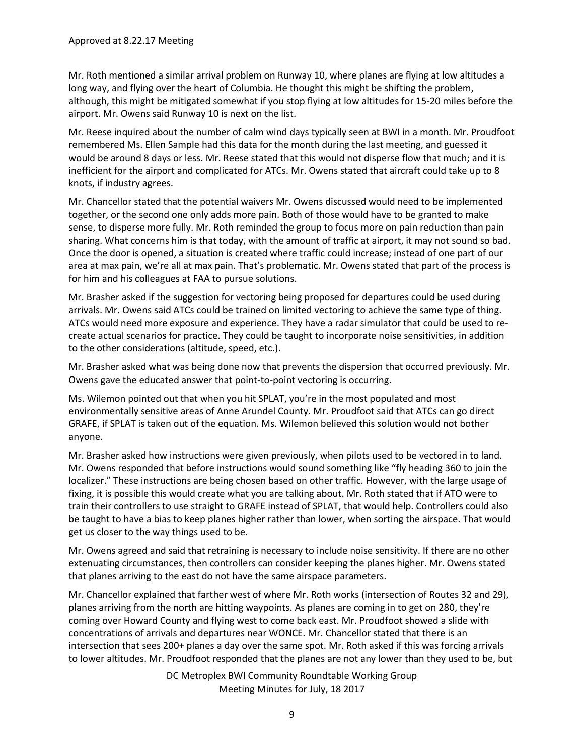Mr. Roth mentioned a similar arrival problem on Runway 10, where planes are flying at low altitudes a long way, and flying over the heart of Columbia. He thought this might be shifting the problem, although, this might be mitigated somewhat if you stop flying at low altitudes for 15-20 miles before the airport. Mr. Owens said Runway 10 is next on the list.

Mr. Reese inquired about the number of calm wind days typically seen at BWI in a month. Mr. Proudfoot remembered Ms. Ellen Sample had this data for the month during the last meeting, and guessed it would be around 8 days or less. Mr. Reese stated that this would not disperse flow that much; and it is inefficient for the airport and complicated for ATCs. Mr. Owens stated that aircraft could take up to 8 knots, if industry agrees.

Mr. Chancellor stated that the potential waivers Mr. Owens discussed would need to be implemented together, or the second one only adds more pain. Both of those would have to be granted to make sense, to disperse more fully. Mr. Roth reminded the group to focus more on pain reduction than pain sharing. What concerns him is that today, with the amount of traffic at airport, it may not sound so bad. Once the door is opened, a situation is created where traffic could increase; instead of one part of our area at max pain, we're all at max pain. That's problematic. Mr. Owens stated that part of the process is for him and his colleagues at FAA to pursue solutions.

Mr. Brasher asked if the suggestion for vectoring being proposed for departures could be used during arrivals. Mr. Owens said ATCs could be trained on limited vectoring to achieve the same type of thing. ATCs would need more exposure and experience. They have a radar simulator that could be used to recreate actual scenarios for practice. They could be taught to incorporate noise sensitivities, in addition to the other considerations (altitude, speed, etc.).

Mr. Brasher asked what was being done now that prevents the dispersion that occurred previously. Mr. Owens gave the educated answer that point-to-point vectoring is occurring.

Ms. Wilemon pointed out that when you hit SPLAT, you're in the most populated and most environmentally sensitive areas of Anne Arundel County. Mr. Proudfoot said that ATCs can go direct GRAFE, if SPLAT is taken out of the equation. Ms. Wilemon believed this solution would not bother anyone.

Mr. Brasher asked how instructions were given previously, when pilots used to be vectored in to land. Mr. Owens responded that before instructions would sound something like "fly heading 360 to join the localizer." These instructions are being chosen based on other traffic. However, with the large usage of fixing, it is possible this would create what you are talking about. Mr. Roth stated that if ATO were to train their controllers to use straight to GRAFE instead of SPLAT, that would help. Controllers could also be taught to have a bias to keep planes higher rather than lower, when sorting the airspace. That would get us closer to the way things used to be.

Mr. Owens agreed and said that retraining is necessary to include noise sensitivity. If there are no other extenuating circumstances, then controllers can consider keeping the planes higher. Mr. Owens stated that planes arriving to the east do not have the same airspace parameters.

Mr. Chancellor explained that farther west of where Mr. Roth works (intersection of Routes 32 and 29), planes arriving from the north are hitting waypoints. As planes are coming in to get on 280, they're coming over Howard County and flying west to come back east. Mr. Proudfoot showed a slide with concentrations of arrivals and departures near WONCE. Mr. Chancellor stated that there is an intersection that sees 200+ planes a day over the same spot. Mr. Roth asked if this was forcing arrivals to lower altitudes. Mr. Proudfoot responded that the planes are not any lower than they used to be, but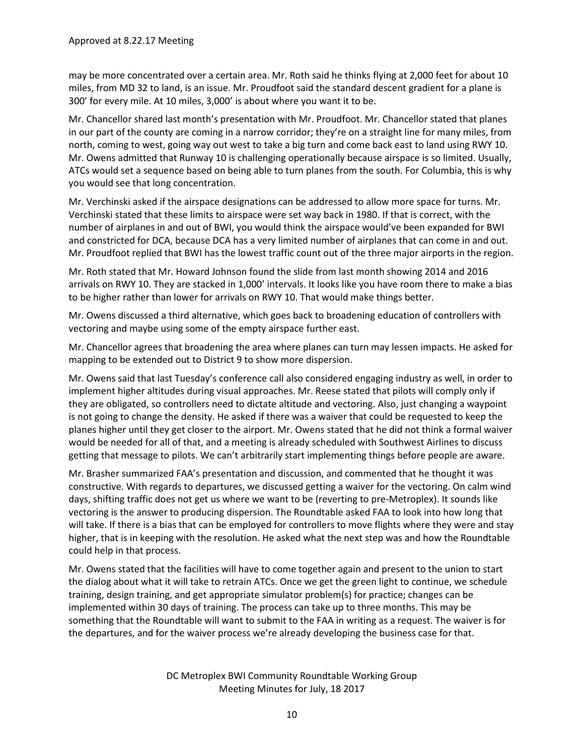may be more concentrated over a certain area. Mr. Roth said he thinks flying at 2,000 feet for about 10 miles, from MD 32 to land, is an issue. Mr. Proudfoot said the standard descent gradient for a plane is 300' for every mile. At 10 miles, 3,000' is about where you want it to be.

Mr. Chancellor shared last month's presentation with Mr. Proudfoot. Mr. Chancellor stated that planes in our part of the county are coming in a narrow corridor; they're on a straight line for many miles, from north, coming to west, going way out west to take a big turn and come back east to land using RWY 10. Mr. Owens admitted that Runway 10 is challenging operationally because airspace is so limited. Usually, ATCs would set a sequence based on being able to turn planes from the south. For Columbia, this is why you would see that long concentration.

Mr. Verchinski asked if the airspace designations can be addressed to allow more space for turns. Mr. Verchinski stated that these limits to airspace were set way back in 1980. If that is correct, with the number of airplanes in and out of BWI, you would think the airspace would've been expanded for BWI and constricted for DCA, because DCA has a very limited number of airplanes that can come in and out. Mr. Proudfoot replied that BWI has the lowest traffic count out of the three major airports in the region.

Mr. Roth stated that Mr. Howard Johnson found the slide from last month showing 2014 and 2016 arrivals on RWY 10. They are stacked in 1,000' intervals. It looks like you have room there to make a bias to be higher rather than lower for arrivals on RWY 10. That would make things better.

Mr. Owens discussed a third alternative, which goes back to broadening education of controllers with vectoring and maybe using some of the empty airspace further east.

Mr. Chancellor agrees that broadening the area where planes can turn may lessen impacts. He asked for mapping to be extended out to District 9 to show more dispersion.

Mr. Owens said that last Tuesday's conference call also considered engaging industry as well, in order to implement higher altitudes during visual approaches. Mr. Reese stated that pilots will comply only if they are obligated, so controllers need to dictate altitude and vectoring. Also, just changing a waypoint is not going to change the density. He asked if there was a waiver that could be requested to keep the planes higher until they get closer to the airport. Mr. Owens stated that he did not think a formal waiver would be needed for all of that, and a meeting is already scheduled with Southwest Airlines to discuss getting that message to pilots. We can't arbitrarily start implementing things before people are aware.

Mr. Brasher summarized FAA's presentation and discussion, and commented that he thought it was constructive. With regards to departures, we discussed getting a waiver for the vectoring. On calm wind days, shifting traffic does not get us where we want to be (reverting to pre-Metroplex). It sounds like vectoring is the answer to producing dispersion. The Roundtable asked FAA to look into how long that will take. If there is a bias that can be employed for controllers to move flights where they were and stay higher, that is in keeping with the resolution. He asked what the next step was and how the Roundtable could help in that process.

Mr. Owens stated that the facilities will have to come together again and present to the union to start the dialog about what it will take to retrain ATCs. Once we get the green light to continue, we schedule training, design training, and get appropriate simulator problem(s) for practice; changes can be implemented within 30 days of training. The process can take up to three months. This may be something that the Roundtable will want to submit to the FAA in writing as a request. The waiver is for the departures, and for the waiver process we're already developing the business case for that.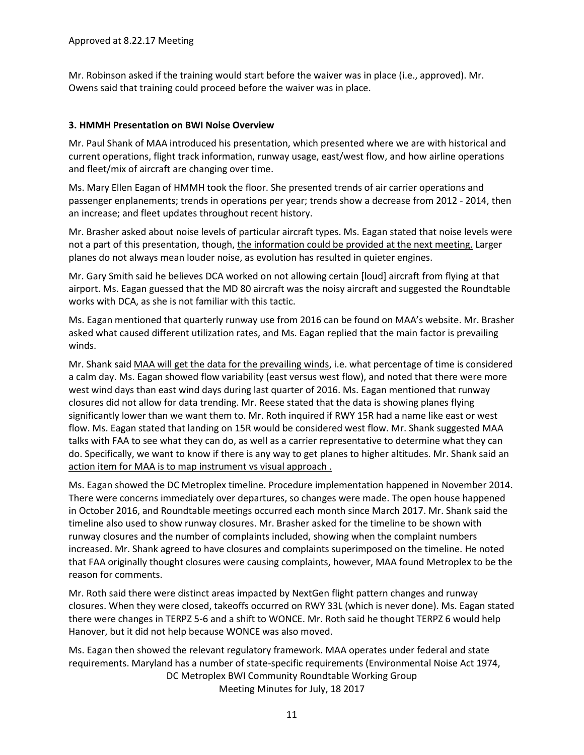Mr. Robinson asked if the training would start before the waiver was in place (i.e., approved). Mr. Owens said that training could proceed before the waiver was in place.

# **3. HMMH Presentation on BWI Noise Overview**

Mr. Paul Shank of MAA introduced his presentation, which presented where we are with historical and current operations, flight track information, runway usage, east/west flow, and how airline operations and fleet/mix of aircraft are changing over time.

Ms. Mary Ellen Eagan of HMMH took the floor. She presented trends of air carrier operations and passenger enplanements; trends in operations per year; trends show a decrease from 2012 - 2014, then an increase; and fleet updates throughout recent history.

Mr. Brasher asked about noise levels of particular aircraft types. Ms. Eagan stated that noise levels were not a part of this presentation, though, the information could be provided at the next meeting. Larger planes do not always mean louder noise, as evolution has resulted in quieter engines.

Mr. Gary Smith said he believes DCA worked on not allowing certain [loud] aircraft from flying at that airport. Ms. Eagan guessed that the MD 80 aircraft was the noisy aircraft and suggested the Roundtable works with DCA, as she is not familiar with this tactic.

Ms. Eagan mentioned that quarterly runway use from 2016 can be found on MAA's website. Mr. Brasher asked what caused different utilization rates, and Ms. Eagan replied that the main factor is prevailing winds.

Mr. Shank said MAA will get the data for the prevailing winds, i.e. what percentage of time is considered a calm day. Ms. Eagan showed flow variability (east versus west flow), and noted that there were more west wind days than east wind days during last quarter of 2016. Ms. Eagan mentioned that runway closures did not allow for data trending. Mr. Reese stated that the data is showing planes flying significantly lower than we want them to. Mr. Roth inquired if RWY 15R had a name like east or west flow. Ms. Eagan stated that landing on 15R would be considered west flow. Mr. Shank suggested MAA talks with FAA to see what they can do, as well as a carrier representative to determine what they can do. Specifically, we want to know if there is any way to get planes to higher altitudes. Mr. Shank said an action item for MAA is to map instrument vs visual approach.

Ms. Eagan showed the DC Metroplex timeline. Procedure implementation happened in November 2014. There were concerns immediately over departures, so changes were made. The open house happened in October 2016, and Roundtable meetings occurred each month since March 2017. Mr. Shank said the timeline also used to show runway closures. Mr. Brasher asked for the timeline to be shown with runway closures and the number of complaints included, showing when the complaint numbers increased. Mr. Shank agreed to have closures and complaints superimposed on the timeline. He noted that FAA originally thought closures were causing complaints, however, MAA found Metroplex to be the reason for comments.

Mr. Roth said there were distinct areas impacted by NextGen flight pattern changes and runway closures. When they were closed, takeoffs occurred on RWY 33L (which is never done). Ms. Eagan stated there were changes in TERPZ 5-6 and a shift to WONCE. Mr. Roth said he thought TERPZ 6 would help Hanover, but it did not help because WONCE was also moved.

DC Metroplex BWI Community Roundtable Working Group Meeting Minutes for July, 18 2017 Ms. Eagan then showed the relevant regulatory framework. MAA operates under federal and state requirements. Maryland has a number of state-specific requirements (Environmental Noise Act 1974,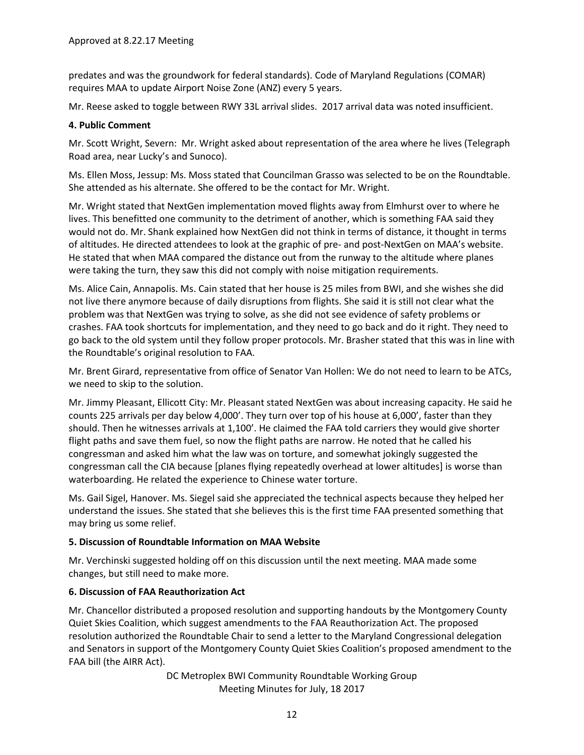predates and was the groundwork for federal standards). Code of Maryland Regulations (COMAR) requires MAA to update Airport Noise Zone (ANZ) every 5 years.

Mr. Reese asked to toggle between RWY 33L arrival slides. 2017 arrival data was noted insufficient.

### **4. Public Comment**

Mr. Scott Wright, Severn: Mr. Wright asked about representation of the area where he lives (Telegraph Road area, near Lucky's and Sunoco).

Ms. Ellen Moss, Jessup: Ms. Moss stated that Councilman Grasso was selected to be on the Roundtable. She attended as his alternate. She offered to be the contact for Mr. Wright.

Mr. Wright stated that NextGen implementation moved flights away from Elmhurst over to where he lives. This benefitted one community to the detriment of another, which is something FAA said they would not do. Mr. Shank explained how NextGen did not think in terms of distance, it thought in terms of altitudes. He directed attendees to look at the graphic of pre- and post-NextGen on MAA's website. He stated that when MAA compared the distance out from the runway to the altitude where planes were taking the turn, they saw this did not comply with noise mitigation requirements.

Ms. Alice Cain, Annapolis. Ms. Cain stated that her house is 25 miles from BWI, and she wishes she did not live there anymore because of daily disruptions from flights. She said it is still not clear what the problem was that NextGen was trying to solve, as she did not see evidence of safety problems or crashes. FAA took shortcuts for implementation, and they need to go back and do it right. They need to go back to the old system until they follow proper protocols. Mr. Brasher stated that this was in line with the Roundtable's original resolution to FAA.

Mr. Brent Girard, representative from office of Senator Van Hollen: We do not need to learn to be ATCs, we need to skip to the solution.

Mr. Jimmy Pleasant, Ellicott City: Mr. Pleasant stated NextGen was about increasing capacity. He said he counts 225 arrivals per day below 4,000'. They turn over top of his house at 6,000', faster than they should. Then he witnesses arrivals at 1,100'. He claimed the FAA told carriers they would give shorter flight paths and save them fuel, so now the flight paths are narrow. He noted that he called his congressman and asked him what the law was on torture, and somewhat jokingly suggested the congressman call the CIA because [planes flying repeatedly overhead at lower altitudes] is worse than waterboarding. He related the experience to Chinese water torture.

Ms. Gail Sigel, Hanover. Ms. Siegel said she appreciated the technical aspects because they helped her understand the issues. She stated that she believes this is the first time FAA presented something that may bring us some relief.

### **5. Discussion of Roundtable Information on MAA Website**

Mr. Verchinski suggested holding off on this discussion until the next meeting. MAA made some changes, but still need to make more.

# **6. Discussion of FAA Reauthorization Act**

Mr. Chancellor distributed a proposed resolution and supporting handouts by the Montgomery County Quiet Skies Coalition, which suggest amendments to the FAA Reauthorization Act. The proposed resolution authorized the Roundtable Chair to send a letter to the Maryland Congressional delegation and Senators in support of the Montgomery County Quiet Skies Coalition's proposed amendment to the FAA bill (the AIRR Act).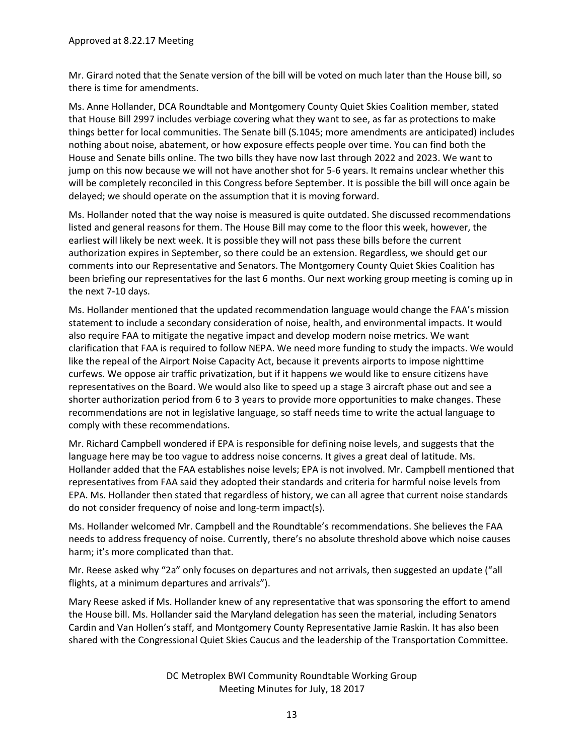Mr. Girard noted that the Senate version of the bill will be voted on much later than the House bill, so there is time for amendments.

Ms. Anne Hollander, DCA Roundtable and Montgomery County Quiet Skies Coalition member, stated that House Bill 2997 includes verbiage covering what they want to see, as far as protections to make things better for local communities. The Senate bill (S.1045; more amendments are anticipated) includes nothing about noise, abatement, or how exposure effects people over time. You can find both the House and Senate bills online. The two bills they have now last through 2022 and 2023. We want to jump on this now because we will not have another shot for 5-6 years. It remains unclear whether this will be completely reconciled in this Congress before September. It is possible the bill will once again be delayed; we should operate on the assumption that it is moving forward.

Ms. Hollander noted that the way noise is measured is quite outdated. She discussed recommendations listed and general reasons for them. The House Bill may come to the floor this week, however, the earliest will likely be next week. It is possible they will not pass these bills before the current authorization expires in September, so there could be an extension. Regardless, we should get our comments into our Representative and Senators. The Montgomery County Quiet Skies Coalition has been briefing our representatives for the last 6 months. Our next working group meeting is coming up in the next 7-10 days.

Ms. Hollander mentioned that the updated recommendation language would change the FAA's mission statement to include a secondary consideration of noise, health, and environmental impacts. It would also require FAA to mitigate the negative impact and develop modern noise metrics. We want clarification that FAA is required to follow NEPA. We need more funding to study the impacts. We would like the repeal of the Airport Noise Capacity Act, because it prevents airports to impose nighttime curfews. We oppose air traffic privatization, but if it happens we would like to ensure citizens have representatives on the Board. We would also like to speed up a stage 3 aircraft phase out and see a shorter authorization period from 6 to 3 years to provide more opportunities to make changes. These recommendations are not in legislative language, so staff needs time to write the actual language to comply with these recommendations.

Mr. Richard Campbell wondered if EPA is responsible for defining noise levels, and suggests that the language here may be too vague to address noise concerns. It gives a great deal of latitude. Ms. Hollander added that the FAA establishes noise levels; EPA is not involved. Mr. Campbell mentioned that representatives from FAA said they adopted their standards and criteria for harmful noise levels from EPA. Ms. Hollander then stated that regardless of history, we can all agree that current noise standards do not consider frequency of noise and long-term impact(s).

Ms. Hollander welcomed Mr. Campbell and the Roundtable's recommendations. She believes the FAA needs to address frequency of noise. Currently, there's no absolute threshold above which noise causes harm; it's more complicated than that.

Mr. Reese asked why "2a" only focuses on departures and not arrivals, then suggested an update ("all flights, at a minimum departures and arrivals").

Mary Reese asked if Ms. Hollander knew of any representative that was sponsoring the effort to amend the House bill. Ms. Hollander said the Maryland delegation has seen the material, including Senators Cardin and Van Hollen's staff, and Montgomery County Representative Jamie Raskin. It has also been shared with the Congressional Quiet Skies Caucus and the leadership of the Transportation Committee.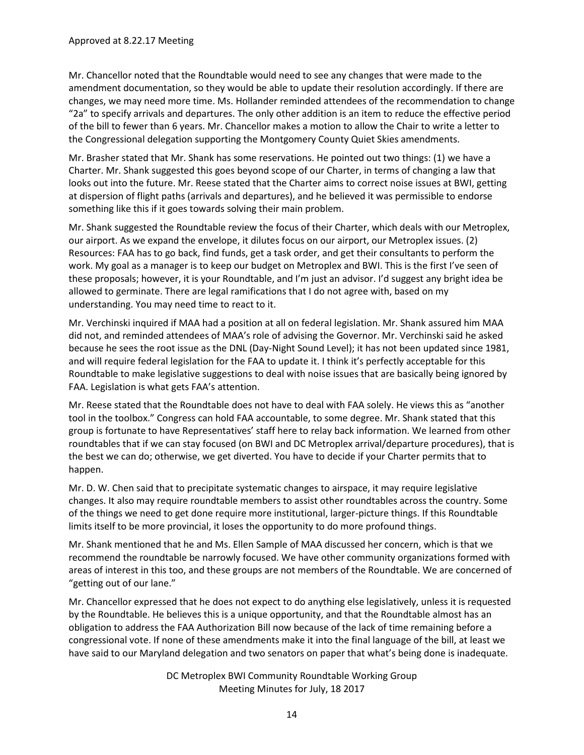Mr. Chancellor noted that the Roundtable would need to see any changes that were made to the amendment documentation, so they would be able to update their resolution accordingly. If there are changes, we may need more time. Ms. Hollander reminded attendees of the recommendation to change "2a" to specify arrivals and departures. The only other addition is an item to reduce the effective period of the bill to fewer than 6 years. Mr. Chancellor makes a motion to allow the Chair to write a letter to the Congressional delegation supporting the Montgomery County Quiet Skies amendments.

Mr. Brasher stated that Mr. Shank has some reservations. He pointed out two things: (1) we have a Charter. Mr. Shank suggested this goes beyond scope of our Charter, in terms of changing a law that looks out into the future. Mr. Reese stated that the Charter aims to correct noise issues at BWI, getting at dispersion of flight paths (arrivals and departures), and he believed it was permissible to endorse something like this if it goes towards solving their main problem.

Mr. Shank suggested the Roundtable review the focus of their Charter, which deals with our Metroplex, our airport. As we expand the envelope, it dilutes focus on our airport, our Metroplex issues. (2) Resources: FAA has to go back, find funds, get a task order, and get their consultants to perform the work. My goal as a manager is to keep our budget on Metroplex and BWI. This is the first I've seen of these proposals; however, it is your Roundtable, and I'm just an advisor. I'd suggest any bright idea be allowed to germinate. There are legal ramifications that I do not agree with, based on my understanding. You may need time to react to it.

Mr. Verchinski inquired if MAA had a position at all on federal legislation. Mr. Shank assured him MAA did not, and reminded attendees of MAA's role of advising the Governor. Mr. Verchinski said he asked because he sees the root issue as the DNL (Day-Night Sound Level); it has not been updated since 1981, and will require federal legislation for the FAA to update it. I think it's perfectly acceptable for this Roundtable to make legislative suggestions to deal with noise issues that are basically being ignored by FAA. Legislation is what gets FAA's attention.

Mr. Reese stated that the Roundtable does not have to deal with FAA solely. He views this as "another tool in the toolbox." Congress can hold FAA accountable, to some degree. Mr. Shank stated that this group is fortunate to have Representatives' staff here to relay back information. We learned from other roundtables that if we can stay focused (on BWI and DC Metroplex arrival/departure procedures), that is the best we can do; otherwise, we get diverted. You have to decide if your Charter permits that to happen.

Mr. D. W. Chen said that to precipitate systematic changes to airspace, it may require legislative changes. It also may require roundtable members to assist other roundtables across the country. Some of the things we need to get done require more institutional, larger-picture things. If this Roundtable limits itself to be more provincial, it loses the opportunity to do more profound things.

Mr. Shank mentioned that he and Ms. Ellen Sample of MAA discussed her concern, which is that we recommend the roundtable be narrowly focused. We have other community organizations formed with areas of interest in this too, and these groups are not members of the Roundtable. We are concerned of "getting out of our lane."

Mr. Chancellor expressed that he does not expect to do anything else legislatively, unless it is requested by the Roundtable. He believes this is a unique opportunity, and that the Roundtable almost has an obligation to address the FAA Authorization Bill now because of the lack of time remaining before a congressional vote. If none of these amendments make it into the final language of the bill, at least we have said to our Maryland delegation and two senators on paper that what's being done is inadequate.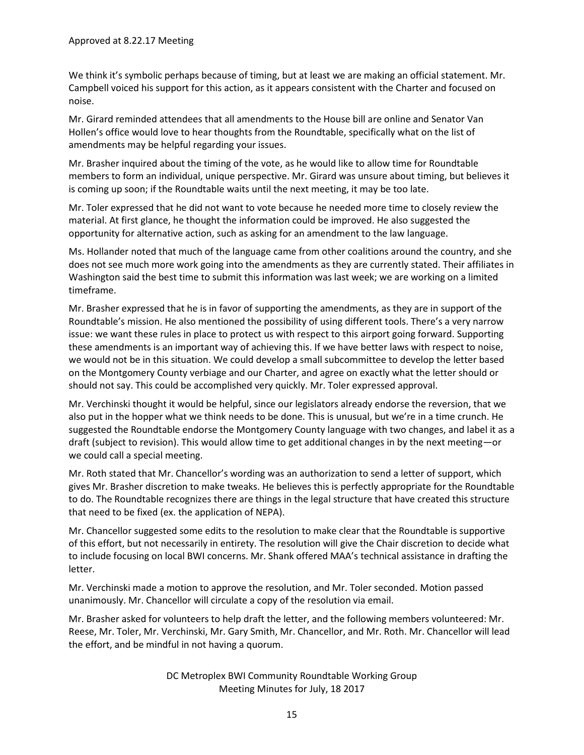We think it's symbolic perhaps because of timing, but at least we are making an official statement. Mr. Campbell voiced his support for this action, as it appears consistent with the Charter and focused on noise.

Mr. Girard reminded attendees that all amendments to the House bill are online and Senator Van Hollen's office would love to hear thoughts from the Roundtable, specifically what on the list of amendments may be helpful regarding your issues.

Mr. Brasher inquired about the timing of the vote, as he would like to allow time for Roundtable members to form an individual, unique perspective. Mr. Girard was unsure about timing, but believes it is coming up soon; if the Roundtable waits until the next meeting, it may be too late.

Mr. Toler expressed that he did not want to vote because he needed more time to closely review the material. At first glance, he thought the information could be improved. He also suggested the opportunity for alternative action, such as asking for an amendment to the law language.

Ms. Hollander noted that much of the language came from other coalitions around the country, and she does not see much more work going into the amendments as they are currently stated. Their affiliates in Washington said the best time to submit this information was last week; we are working on a limited timeframe.

Mr. Brasher expressed that he is in favor of supporting the amendments, as they are in support of the Roundtable's mission. He also mentioned the possibility of using different tools. There's a very narrow issue: we want these rules in place to protect us with respect to this airport going forward. Supporting these amendments is an important way of achieving this. If we have better laws with respect to noise, we would not be in this situation. We could develop a small subcommittee to develop the letter based on the Montgomery County verbiage and our Charter, and agree on exactly what the letter should or should not say. This could be accomplished very quickly. Mr. Toler expressed approval.

Mr. Verchinski thought it would be helpful, since our legislators already endorse the reversion, that we also put in the hopper what we think needs to be done. This is unusual, but we're in a time crunch. He suggested the Roundtable endorse the Montgomery County language with two changes, and label it as a draft (subject to revision). This would allow time to get additional changes in by the next meeting—or we could call a special meeting.

Mr. Roth stated that Mr. Chancellor's wording was an authorization to send a letter of support, which gives Mr. Brasher discretion to make tweaks. He believes this is perfectly appropriate for the Roundtable to do. The Roundtable recognizes there are things in the legal structure that have created this structure that need to be fixed (ex. the application of NEPA).

Mr. Chancellor suggested some edits to the resolution to make clear that the Roundtable is supportive of this effort, but not necessarily in entirety. The resolution will give the Chair discretion to decide what to include focusing on local BWI concerns. Mr. Shank offered MAA's technical assistance in drafting the letter.

Mr. Verchinski made a motion to approve the resolution, and Mr. Toler seconded. Motion passed unanimously. Mr. Chancellor will circulate a copy of the resolution via email.

Mr. Brasher asked for volunteers to help draft the letter, and the following members volunteered: Mr. Reese, Mr. Toler, Mr. Verchinski, Mr. Gary Smith, Mr. Chancellor, and Mr. Roth. Mr. Chancellor will lead the effort, and be mindful in not having a quorum.